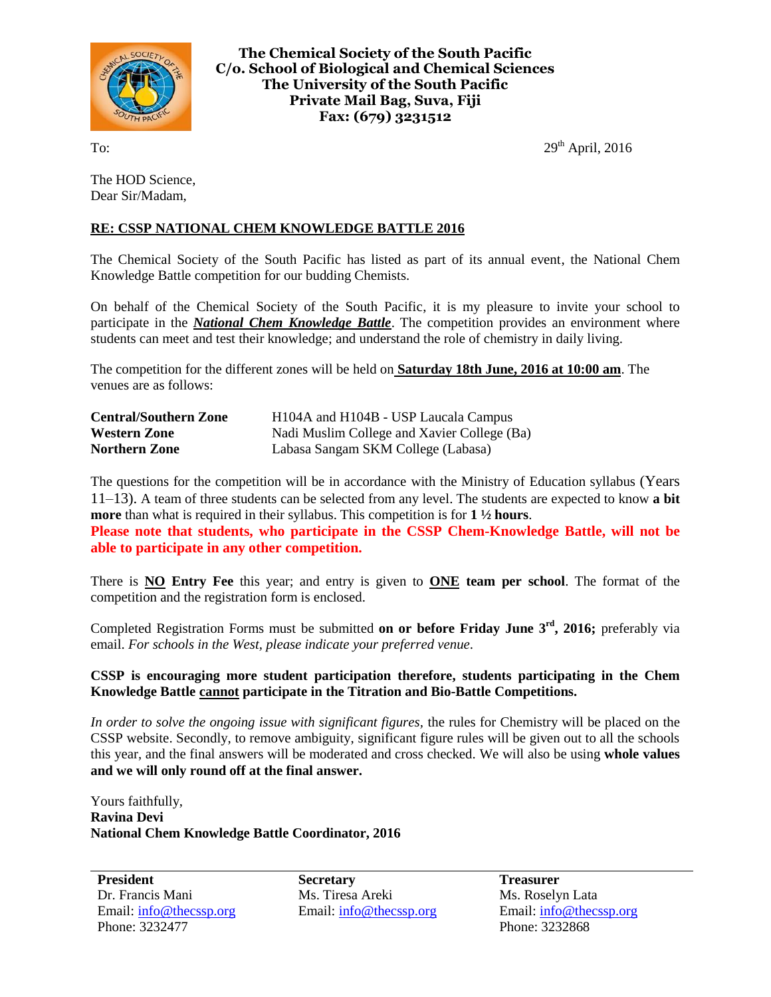

**The Chemical Society of the South Pacific C/o. School of Biological and Chemical Sciences The University of the South Pacific Private Mail Bag, Suva, Fiji Fax: (679) 3231512**

To:  $29<sup>th</sup>$  April, 2016

The HOD Science, Dear Sir/Madam,

## **RE: CSSP NATIONAL CHEM KNOWLEDGE BATTLE 2016**

The Chemical Society of the South Pacific has listed as part of its annual event, the National Chem Knowledge Battle competition for our budding Chemists.

On behalf of the Chemical Society of the South Pacific, it is my pleasure to invite your school to participate in the *National Chem Knowledge Battle*. The competition provides an environment where students can meet and test their knowledge; and understand the role of chemistry in daily living.

The competition for the different zones will be held on **Saturday 18th June, 2016 at 10:00 am**. The venues are as follows:

| <b>Central/Southern Zone</b> | H104A and H104B - USP Laucala Campus        |
|------------------------------|---------------------------------------------|
| <b>Western Zone</b>          | Nadi Muslim College and Xavier College (Ba) |
| <b>Northern Zone</b>         | Labasa Sangam SKM College (Labasa)          |

The questions for the competition will be in accordance with the Ministry of Education syllabus (Years 11–13). A team of three students can be selected from any level. The students are expected to know **a bit more** than what is required in their syllabus. This competition is for **1 ½ hours**.

**Please note that students, who participate in the CSSP Chem-Knowledge Battle, will not be able to participate in any other competition.**

There is **NO Entry Fee** this year; and entry is given to **ONE team per school**. The format of the competition and the registration form is enclosed.

Completed Registration Forms must be submitted **on or before Friday June 3rd , 2016;** preferably via email. *For schools in the West, please indicate your preferred venue*.

## **CSSP is encouraging more student participation therefore, students participating in the Chem Knowledge Battle cannot participate in the Titration and Bio-Battle Competitions.**

*In order to solve the ongoing issue with significant figures,* the rules for Chemistry will be placed on the CSSP website. Secondly, to remove ambiguity, significant figure rules will be given out to all the schools this year, and the final answers will be moderated and cross checked. We will also be using **whole values and we will only round off at the final answer.**

Yours faithfully, **Ravina Devi National Chem Knowledge Battle Coordinator, 2016**

**President** Dr. Francis Mani Email: [info@thecssp.org](mailto:info@thecssp.org) Phone: 3232477

**Secretary** Ms. Tiresa Areki Email: [info@thecssp.org](mailto:info@thecssp.org) **Treasurer** Ms. Roselyn Lata Email[: info@thecssp.org](mailto:info@thecssp.org) Phone: 3232868